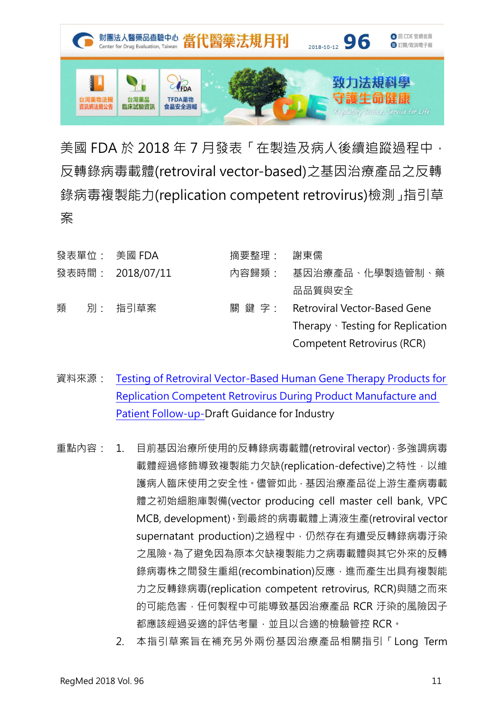

美國 FDA 於 2018年7月發表「在製造及病人後續追蹤過程中, 反轉錄病毒載體(retroviral vector-based)之基因治療產品之反轉 錄病毒複製能力(replication competent retrovirus)檢測」指引草 案

| 發表單位: 美國 FDA |  |                  | 摘要整理:  | 謝東儒                                 |  |
|--------------|--|------------------|--------|-------------------------------------|--|
|              |  | 發表時間: 2018/07/11 | 內容歸類:  | 基因治療產品、化學製造管制、藥                     |  |
|              |  |                  |        | 品品質與安全                              |  |
| 類            |  | 別: 指引草案          | 關 鍵 字: | <b>Retroviral Vector-Based Gene</b> |  |
|              |  |                  |        | Therapy · Testing for Replication   |  |
|              |  |                  |        | Competent Retrovirus (RCR)          |  |
|              |  |                  |        |                                     |  |

- 資料來源: Testing of Retroviral Vector-Based Human Gene Therapy Products for [Replication Competent Retrovirus During Product Manufacture and](https://www.fda.gov/ucm/groups/fdagov-public/@fdagov-bio-gen/documents/document/ucm610800.pdf)  [Patient Follow-up-](https://www.fda.gov/ucm/groups/fdagov-public/@fdagov-bio-gen/documents/document/ucm610800.pdf)Draft Guidance for Industry
- 重點內容: 1. 目前基因治療所使用的反轉錄病毒載體(retroviral vector),多強調病毒 載體經過修飾導致複製能力欠缺(replication-defective)之特性,以維 護病人臨床使用之安全性。儘管如此,基因治療產品從上游生產病毒載 體之初始細胞庫製備(vector producing cell master cell bank, VPC MCB, development),到最終的病毒載體上清液生產(retroviral vector supernatant production)之過程中, 仍然存在有遭受反轉錄病毒汙染 之風險。為了避免因為原本欠缺複製能力之病毒載體與其它外來的反轉 錄病毒株之間發生重組(recombination)反應,進而產生出具有複製能 力之反轉錄病毒(replication competent retrovirus, RCR)與隨之而來 的可能危害, 任何製程中可能導致基因治療產品 RCR 汗染的風險因子 都應該經過妥適的評估考量,並且以合適的檢驗管控 RCR。
	- 2. 本指引草案旨在補充另外兩份基因治療產品相關指引「Long Term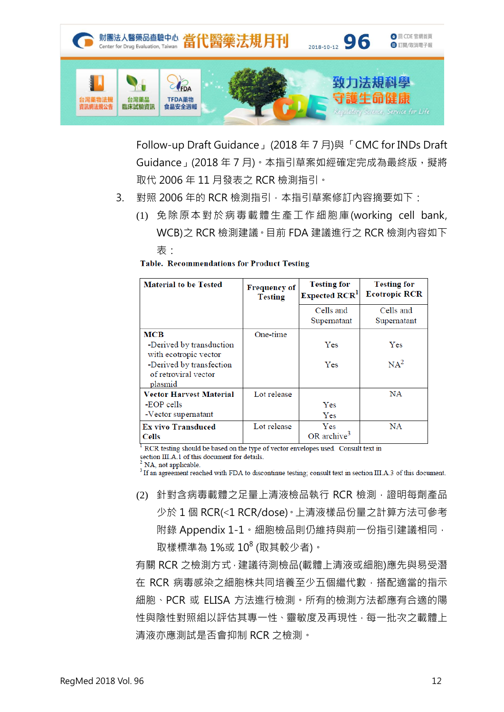

Follow-up Draft Guidance」(2018 年 7 月)與「CMC for INDs Draft Guidance」(2018年7月)。本指引草案如經確定完成為最終版,擬將 取代 2006 年 11 月發表之 RCR 檢測指引。

- 3. 對照 2006年的 RCR 檢測指引, 本指引草案修訂內容摘要如下:
	- (1) 免除原本對於病毒載體生產工作細胞庫(working cell bank, WCB)之 RCR 檢測建議。目前 FDA 建議進行之 RCR 檢測內容如下 表:

| <b>Table. Recommendations for Product Testing</b> |  |  |
|---------------------------------------------------|--|--|
|                                                   |  |  |

| <b>Material to be Tested</b>                                | <b>Frequency of</b><br><b>Testing</b> | <b>Testing for</b><br>Expected RCR <sup>1</sup> | <b>Testing for</b><br><b>Ecotropic RCR</b> |
|-------------------------------------------------------------|---------------------------------------|-------------------------------------------------|--------------------------------------------|
|                                                             |                                       | Cells and<br>Supernatant                        | Cells and<br>Supernatant                   |
| MCB                                                         | One-time                              |                                                 |                                            |
| -Derived by transduction<br>with ecotropic vector           |                                       | Yes                                             | Yes                                        |
| -Derived by transfection<br>of retroviral vector<br>plasmid |                                       | Yes                                             | $NA^2$                                     |
| <b>Vector Harvest Material</b>                              | Lot release                           |                                                 | NA                                         |
| -EOP cells                                                  |                                       | Yes                                             |                                            |
| -Vector supernatant                                         |                                       | <b>Yes</b>                                      |                                            |
| <b>Ex vivo Transduced</b><br><b>Cells</b>                   | Lot release                           | Yes<br>OR archive <sup>3</sup>                  | NA                                         |

<sup>1</sup> RCR testing should be based on the type of vector envelopes used. Consult text in

section III.A.1 of this document for details.

NA, not applicable

<sup>3</sup> If an agreement reached with FDA to discontinue testing; consult text in section III.A.3 of this document.

(2) 針對含病毒載體之足量上清液檢品執行 RCR 檢測,證明每劑產品 少於 1 個 RCR(<1 RCR/dose)。上清液樣品份量之計算方法可參考 附錄 Appendix 1-1。細胞檢品則仍維持與前一份指引建議相同, 取樣標準為 1%或 10<sup>8</sup> (取其較少者)。

有關 RCR 之檢測方式,建議待測檢品(載體上清液或細胞)應先與易受潛 在 RCR 病毒感染之細胞株共同培養至少五個繼代數,搭配適當的指示 細胞、PCR 或 ELISA 方法進行檢測。所有的檢測方法都應有合適的陽 性與陰性對照組以評估其專一性、靈敏度及再現性,每一批次之載體上 清液亦應測試是否會抑制 RCR 之檢測。